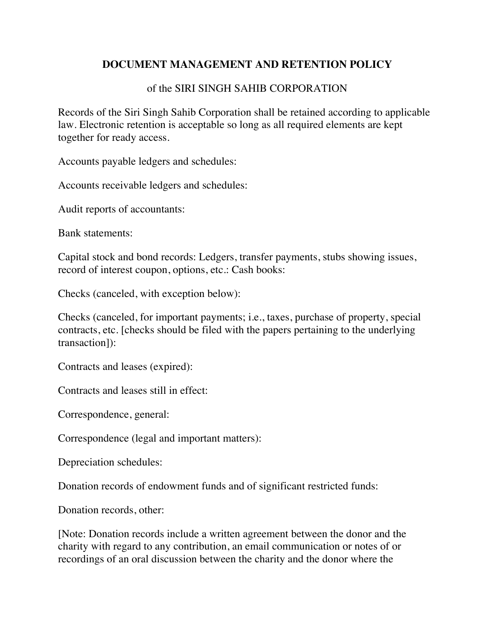## **DOCUMENT MANAGEMENT AND RETENTION POLICY**

## of the SIRI SINGH SAHIB CORPORATION

Records of the Siri Singh Sahib Corporation shall be retained according to applicable law. Electronic retention is acceptable so long as all required elements are kept together for ready access.

Accounts payable ledgers and schedules:

Accounts receivable ledgers and schedules:

Audit reports of accountants:

Bank statements:

Capital stock and bond records: Ledgers, transfer payments, stubs showing issues, record of interest coupon, options, etc.: Cash books:

Checks (canceled, with exception below):

Checks (canceled, for important payments; i.e., taxes, purchase of property, special contracts, etc. [checks should be filed with the papers pertaining to the underlying transaction]):

Contracts and leases (expired):

Contracts and leases still in effect:

Correspondence, general:

Correspondence (legal and important matters):

Depreciation schedules:

Donation records of endowment funds and of significant restricted funds:

Donation records, other:

[Note: Donation records include a written agreement between the donor and the charity with regard to any contribution, an email communication or notes of or recordings of an oral discussion between the charity and the donor where the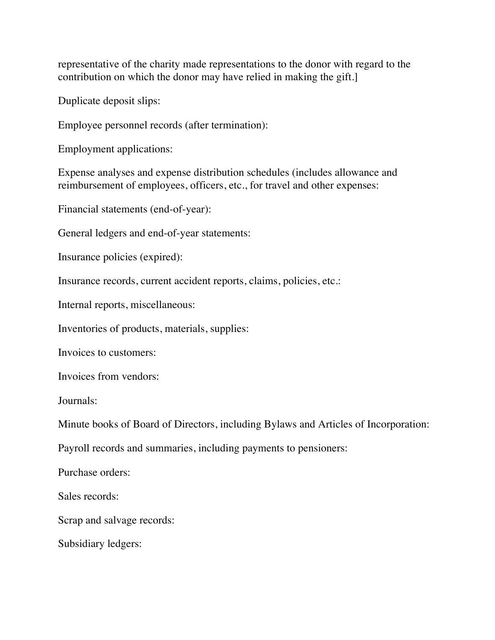representative of the charity made representations to the donor with regard to the contribution on which the donor may have relied in making the gift.]

Duplicate deposit slips:

Employee personnel records (after termination):

Employment applications:

Expense analyses and expense distribution schedules (includes allowance and reimbursement of employees, officers, etc., for travel and other expenses:

Financial statements (end-of-year):

General ledgers and end-of-year statements:

Insurance policies (expired):

Insurance records, current accident reports, claims, policies, etc.:

Internal reports, miscellaneous:

Inventories of products, materials, supplies:

Invoices to customers:

Invoices from vendors:

Journals:

Minute books of Board of Directors, including Bylaws and Articles of Incorporation:

Payroll records and summaries, including payments to pensioners:

Purchase orders:

Sales records:

Scrap and salvage records:

Subsidiary ledgers: